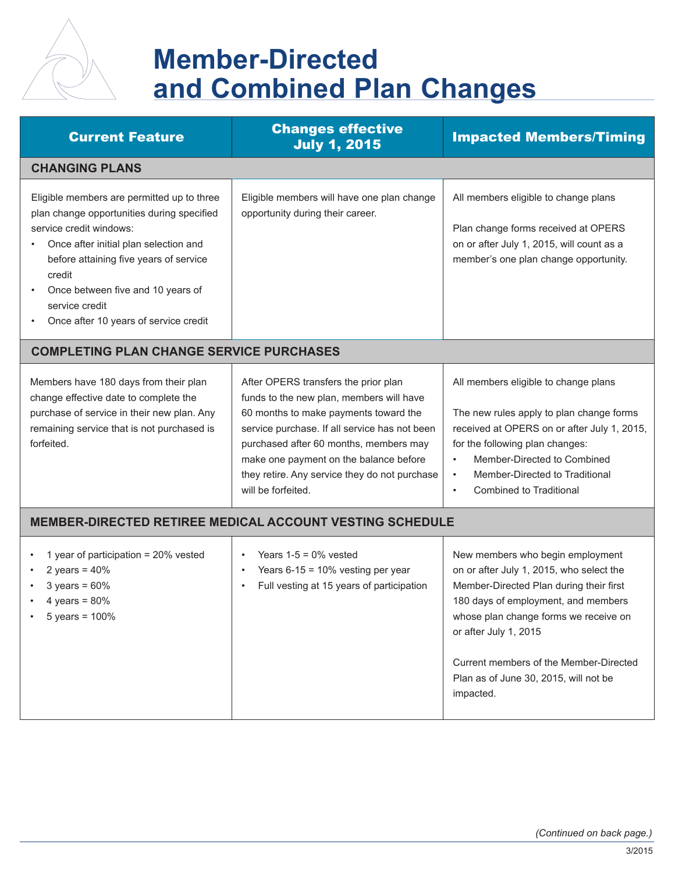

## **Member-Directed and Combined Plan Changes**

| <b>Current Feature</b>                                                                                                                                                                                                                                                                                           | <b>Changes effective</b><br><b>July 1, 2015</b>                                                                                                                                                                                                                                                                                       | <b>Impacted Members/Timing</b>                                                                                                                                                                                                                                                                                                   |  |
|------------------------------------------------------------------------------------------------------------------------------------------------------------------------------------------------------------------------------------------------------------------------------------------------------------------|---------------------------------------------------------------------------------------------------------------------------------------------------------------------------------------------------------------------------------------------------------------------------------------------------------------------------------------|----------------------------------------------------------------------------------------------------------------------------------------------------------------------------------------------------------------------------------------------------------------------------------------------------------------------------------|--|
| <b>CHANGING PLANS</b>                                                                                                                                                                                                                                                                                            |                                                                                                                                                                                                                                                                                                                                       |                                                                                                                                                                                                                                                                                                                                  |  |
| Eligible members are permitted up to three<br>plan change opportunities during specified<br>service credit windows:<br>Once after initial plan selection and<br>before attaining five years of service<br>credit<br>Once between five and 10 years of<br>service credit<br>Once after 10 years of service credit | Eligible members will have one plan change<br>opportunity during their career.                                                                                                                                                                                                                                                        | All members eligible to change plans<br>Plan change forms received at OPERS<br>on or after July 1, 2015, will count as a<br>member's one plan change opportunity.                                                                                                                                                                |  |
| <b>COMPLETING PLAN CHANGE SERVICE PURCHASES</b>                                                                                                                                                                                                                                                                  |                                                                                                                                                                                                                                                                                                                                       |                                                                                                                                                                                                                                                                                                                                  |  |
| Members have 180 days from their plan<br>change effective date to complete the<br>purchase of service in their new plan. Any<br>remaining service that is not purchased is<br>forfeited.                                                                                                                         | After OPERS transfers the prior plan<br>funds to the new plan, members will have<br>60 months to make payments toward the<br>service purchase. If all service has not been<br>purchased after 60 months, members may<br>make one payment on the balance before<br>they retire. Any service they do not purchase<br>will be forfeited. | All members eligible to change plans<br>The new rules apply to plan change forms<br>received at OPERS on or after July 1, 2015,<br>for the following plan changes:<br>Member-Directed to Combined<br>$\bullet$<br>Member-Directed to Traditional<br>$\bullet$<br><b>Combined to Traditional</b>                                  |  |
| MEMBER-DIRECTED RETIREE MEDICAL ACCOUNT VESTING SCHEDULE                                                                                                                                                                                                                                                         |                                                                                                                                                                                                                                                                                                                                       |                                                                                                                                                                                                                                                                                                                                  |  |
| 1 year of participation = 20% vested<br>2 years = $40\%$<br>$3 \text{ years} = 60\%$<br>4 years = $80\%$<br>5 years = $100%$                                                                                                                                                                                     | Years $1-5 = 0\%$ vested<br>$\bullet$<br>Years $6-15 = 10\%$ vesting per year<br>Full vesting at 15 years of participation                                                                                                                                                                                                            | New members who begin employment<br>on or after July 1, 2015, who select the<br>Member-Directed Plan during their first<br>180 days of employment, and members<br>whose plan change forms we receive on<br>or after July 1, 2015<br>Current members of the Member-Directed<br>Plan as of June 30, 2015, will not be<br>impacted. |  |